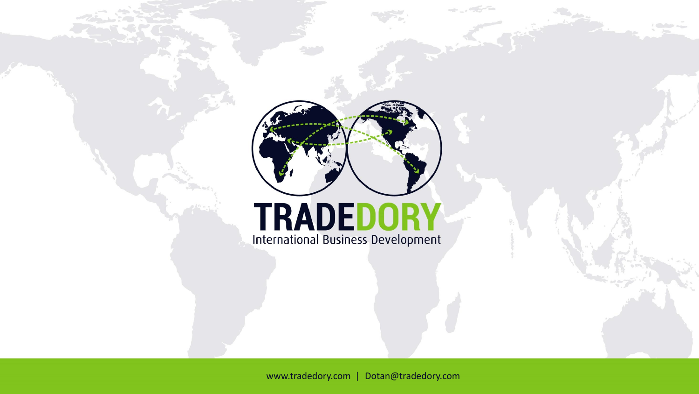

# **TRADEDORY**<br>International Business Development

www.tradedory.com | Dotan@tradedory.com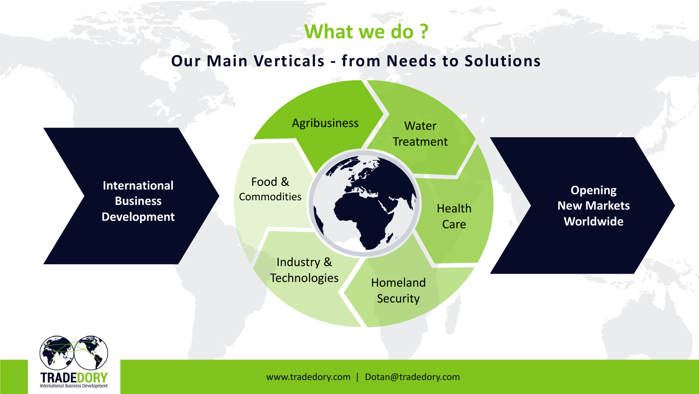# **What we do ?**

# **Our Main Verticals - from Needs to Solutions**

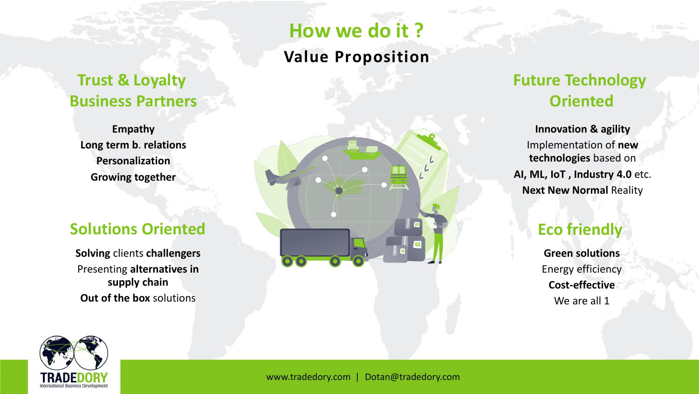# **Trust & Loyalty Business Partners**

**Empathy Long term b**. **relations Personalization Growing together**

## **Solutions Oriented**

**Solving** clients **challengers** Presenting **alternatives in supply chain Out of the box** solutions

# **How we do it ?**

## **Value Proposition**



# **Future Technology Oriented**

**Innovation & agility**  Implementation of **new technologies** based on **AI, ML, IoT , Industry 4.0** etc. **Next New Normal** Reality

# **Eco friendly**

**Green solutions** Energy efficiency **Cost-effective** We are all 1